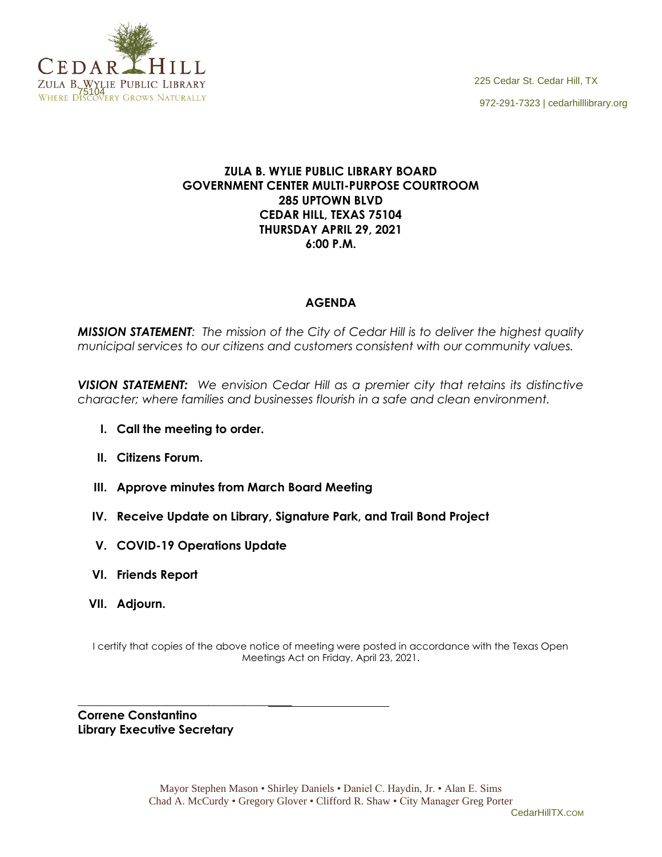

## **ZULA B. WYLIE PUBLIC LIBRARY BOARD GOVERNMENT CENTER MULTI-PURPOSE COURTROOM 285 UPTOWN BLVD CEDAR HILL, TEXAS 75104 THURSDAY APRIL 29, 2021 6:00 P.M.**

## **AGENDA**

*MISSION STATEMENT: The mission of the City of Cedar Hill is to deliver the highest quality municipal services to our citizens and customers consistent with our community values.*

*VISION STATEMENT: We envision Cedar Hill as a premier city that retains its distinctive character; where families and businesses flourish in a safe and clean environment.*

- **I. Call the meeting to order.**
- **II. Citizens Forum.**
- **III. Approve minutes from March Board Meeting**
- **IV. Receive Update on Library, Signature Park, and Trail Bond Project**
- **V. COVID-19 Operations Update**
- **VI. Friends Report**
- **VII. Adjourn.**

I certify that copies of the above notice of meeting were posted in accordance with the Texas Open Meetings Act on Friday, April 23, 2021.

**Correne Constantino Library Executive Secretary**

\_\_\_\_\_\_\_\_\_\_\_\_\_\_\_\_\_\_\_\_\_\_\_\_\_\_\_\_\_\_\_\_\_\_\_\_